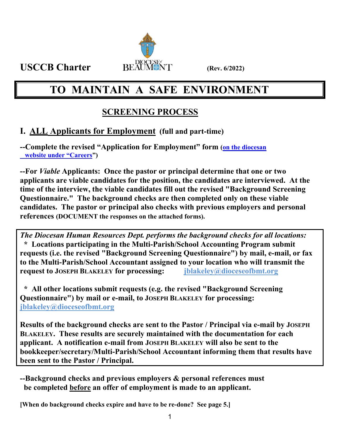

# **TO MAINTAIN A SAFE ENVIRONMENT**

## **SCREENING PROCESS**

### **I. ALL Applicants for Employment (full and part-time)**

**--Complete the revised "Application for Employment" form (on the diocesan website under "Careers")** 

**--For** *Viable* **Applicants: Once the pastor or principal determine that one or two applicants are viable candidates for the position, the candidates are interviewed. At the time of the interview, the viable candidates fill out the revised "Background Screening Questionnaire." The background checks are then completed only on these viable candidates. The pastor or principal also checks with previous employers and personal references (DOCUMENT the responses on the attached forms).**

*The Diocesan Human Resources Dept. performs the background checks for all locations:*   **\* Locations participating in the Multi-Parish/School Accounting Program submit requests (i.e. the revised "Background Screening Questionnaire") by mail, e-mail, or fax to the Multi-Parish/School Accountant assigned to your location who will transmit the request to JOSEPH BLAKELEY for processing: jblakeley@dioceseofbmt.org** 

 **\* All other locations submit requests (e.g. the revised "Background Screening Questionnaire") by mail or e-mail, to JOSEPH BLAKELEY for processing: jblakeley@dioceseofbmt.org** 

**Results of the background checks are sent to the Pastor / Principal via e-mail by JOSEPH BLAKELEY. These results are securely maintained with the documentation for each applicant. A notification e-mail from JOSEPH BLAKELEY will also be sent to the bookkeeper/secretary/Multi-Parish/School Accountant informing them that results have been sent to the Pastor / Principal.** 

**--Background checks and previous employers & personal references must be completed before an offer of employment is made to an applicant.** 

**[When do background checks expire and have to be re-done? See page 5.]**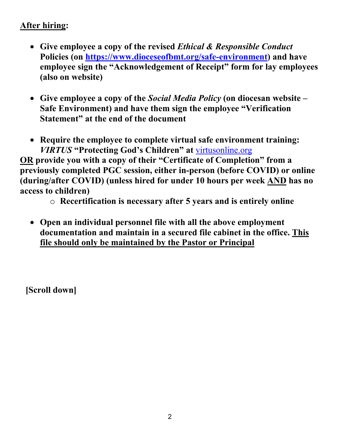### **After hiring:**

- **Give employee a copy of the revised** *Ethical & Responsible Conduct*  **Policies (on https://www.dioceseofbmt.org/safe-environment) and have employee sign the "Acknowledgement of Receipt" form for lay employees (also on website)**
- **Give employee a copy of the** *Social Media Policy* **(on diocesan website Safe Environment) and have them sign the employee "Verification Statement" at the end of the document**
- **Require the employee to complete virtual safe environment training:**  *VIRTUS* **"Protecting God's Children" at** virtusonline.org

**OR provide you with a copy of their "Certificate of Completion" from a previously completed PGC session, either in-person (before COVID) or online (during/after COVID) (unless hired for under 10 hours per week AND has no access to children)** 

o **Recertification is necessary after 5 years and is entirely online** 

 **Open an individual personnel file with all the above employment documentation and maintain in a secured file cabinet in the office. This file should only be maintained by the Pastor or Principal** 

 **[Scroll down]**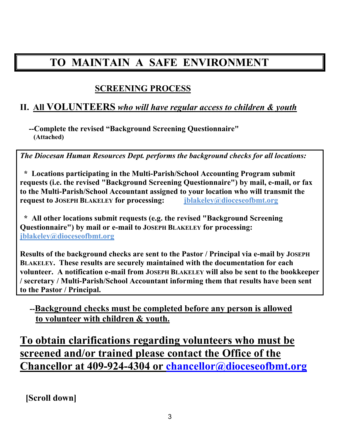# **TO MAINTAIN A SAFE ENVIRONMENT**

### **SCREENING PROCESS**

### **II. All VOLUNTEERS** *who will have regular access to children & youth*

 **--Complete the revised "Background Screening Questionnaire" (Attached)**

*The Diocesan Human Resources Dept. performs the background checks for all locations:* 

 **\* Locations participating in the Multi-Parish/School Accounting Program submit requests (i.e. the revised "Background Screening Questionnaire") by mail, e-mail, or fax to the Multi-Parish/School Accountant assigned to your location who will transmit the request to JOSEPH BLAKELEY for processing: jblakeley@dioceseofbmt.org** 

 **\* All other locations submit requests (e.g. the revised "Background Screening Questionnaire") by mail or e-mail to JOSEPH BLAKELEY for processing: jblakeley@dioceseofbmt.org** 

**Results of the background checks are sent to the Pastor / Principal via e-mail by JOSEPH BLAKELEY. These results are securely maintained with the documentation for each volunteer. A notification e-mail from JOSEPH BLAKELEY will also be sent to the bookkeeper / secretary / Multi-Parish/School Accountant informing them that results have been sent to the Pastor / Principal.** 

### **--Background checks must be completed before any person is allowed to volunteer with children & youth.**

**To obtain clarifications regarding volunteers who must be screened and/or trained please contact the Office of the Chancellor at 409-924-4304 or chancellor@dioceseofbmt.org** 

 **[Scroll down]**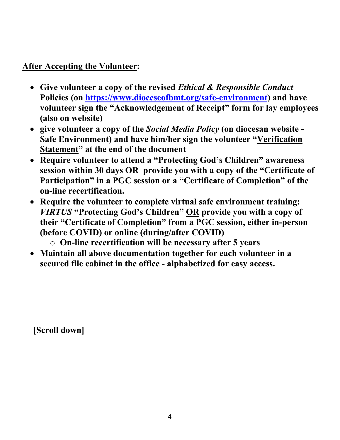### **After Accepting the Volunteer:**

- **Give volunteer a copy of the revised** *Ethical & Responsible Conduct*  **Policies (on https://www.dioceseofbmt.org/safe-environment) and have volunteer sign the "Acknowledgement of Receipt" form for lay employees (also on website)**
- **give volunteer a copy of the** *Social Media Policy* **(on diocesan website Safe Environment) and have him/her sign the volunteer "Verification Statement" at the end of the document**
- **Require volunteer to attend a "Protecting God's Children" awareness session within 30 days OR provide you with a copy of the "Certificate of Participation" in a PGC session or a "Certificate of Completion" of the on-line recertification.**
- **Require the volunteer to complete virtual safe environment training:**  *VIRTUS* **"Protecting God's Children" OR provide you with a copy of their "Certificate of Completion" from a PGC session, either in-person (before COVID) or online (during/after COVID)** 
	- o **On-line recertification will be necessary after 5 years**
- **Maintain all above documentation together for each volunteer in a secured file cabinet in the office - alphabetized for easy access.**

 **[Scroll down]**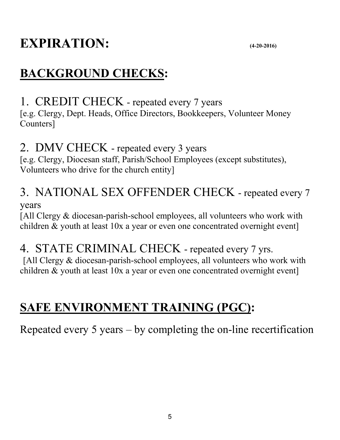# **EXPIRATION:** (4-20-2016)

# **BACKGROUND CHECKS:**

1. CREDIT CHECK - repeated every 7 years

[e.g. Clergy, Dept. Heads, Office Directors, Bookkeepers, Volunteer Money Counters]

## 2. DMV CHECK - repeated every 3 years

[e.g. Clergy, Diocesan staff, Parish/School Employees (except substitutes), Volunteers who drive for the church entity]

# 3. NATIONAL SEX OFFENDER CHECK - repeated every 7

years

[All Clergy & diocesan-parish-school employees, all volunteers who work with children & youth at least 10x a year or even one concentrated overnight event]

# 4. STATE CRIMINAL CHECK - repeated every 7 yrs.

[All Clergy & diocesan-parish-school employees, all volunteers who work with children & youth at least 10x a year or even one concentrated overnight event]

# **SAFE ENVIRONMENT TRAINING (PGC):**

Repeated every 5 years – by completing the on-line recertification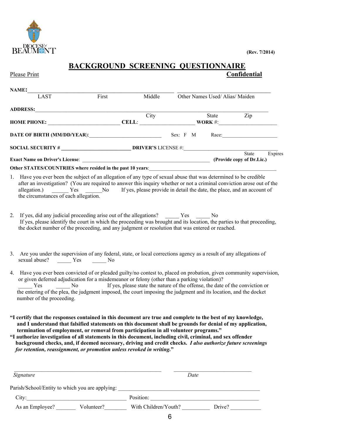

### **BACKGROUND SCREENING QUESTIONNAIRE**  Please Print **Confidential**

| <b>NAME:</b>                                                                                                                                                                                                                                                                                                                                                                                 |              |        |              |                               |                                           |         |
|----------------------------------------------------------------------------------------------------------------------------------------------------------------------------------------------------------------------------------------------------------------------------------------------------------------------------------------------------------------------------------------------|--------------|--------|--------------|-------------------------------|-------------------------------------------|---------|
| LAST                                                                                                                                                                                                                                                                                                                                                                                         | First        | Middle |              | Other Names Used/Alias/Maiden |                                           |         |
| <b>ADDRESS:</b>                                                                                                                                                                                                                                                                                                                                                                              |              |        |              |                               |                                           |         |
|                                                                                                                                                                                                                                                                                                                                                                                              |              | City   |              | State                         | Zip                                       |         |
| HOME PHONE:                                                                                                                                                                                                                                                                                                                                                                                  | <b>CELL:</b> |        |              | WORK #:                       |                                           |         |
| DATE OF BIRTH (MM/DD/YEAR):                                                                                                                                                                                                                                                                                                                                                                  |              |        | $Sex: F \ M$ |                               | Race:                                     |         |
| <b>SOCIAL SECURITY #</b> DRIVER'S LICENSE #:                                                                                                                                                                                                                                                                                                                                                 |              |        |              |                               |                                           |         |
|                                                                                                                                                                                                                                                                                                                                                                                              |              |        |              |                               | <b>State</b><br>(Provide copy of Dr.Lic.) | Expires |
|                                                                                                                                                                                                                                                                                                                                                                                              |              |        |              |                               |                                           |         |
| 1. Have you ever been the subject of an allegation of any type of sexual abuse that was determined to be credible<br>after an investigation? (You are required to answer this inquiry whether or not a criminal conviction arose out of the<br>allegation.) 		 Yes 		 No 		 If yes, please provide in detail the date, the place, and an account of<br>the circumstances of each allegation. |              |        |              |                               |                                           |         |

- 2. If yes, did any judicial proceeding arise out of the allegations? Yes No If yes, please identify the court in which the proceeding was brought and its location, the parties to that proceeding, the docket number of the proceeding, and any judgment or resolution that was entered or reached.
- 3. Are you under the supervision of any federal, state, or local corrections agency as a result of any allegations of sexual abuse? \_\_\_\_\_ Yes \_\_\_\_\_ No
- 4. Have you ever been convicted of or pleaded guilty/no contest to, placed on probation, given community supervision, or given deferred adjudication for a misdemeanor or felony (other than a parking violation)? Yes No If yes, please state the nature of the offense, the date of the conviction or the entering of the plea, the judgment imposed, the court imposing the judgment and its location, and the docket number of the proceeding.
- **"I certify that the responses contained in this document are true and complete to the best of my knowledge, and I understand that falsified statements on this document shall be grounds for denial of my application, termination of employment, or removal from participation in all volunteer programs."**
- **"I authorize investigation of all statements in this document, including civil, criminal, and sex offender background checks, and, if deemed necessary, driving and credit checks.** *I also authorize future screenings*  *for retention, reassignment, or promotion unless revoked in writing.***"**

| Signature                                       |            |                      | Date   |  |  |
|-------------------------------------------------|------------|----------------------|--------|--|--|
| Parish/School/Entity to which you are applying: |            |                      |        |  |  |
| City:                                           |            | Position:            |        |  |  |
| As an Employee?                                 | Volunteer? | With Children/Youth? | Drive? |  |  |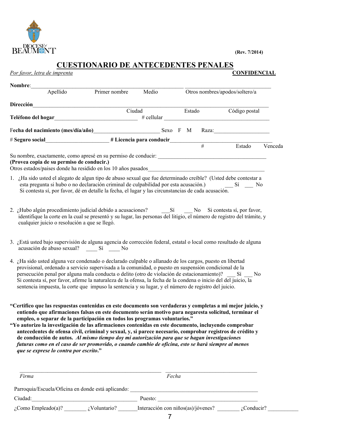

**(Rev. 7/2014)**

### **CUESTIONARIO DE ANTECEDENTES PENALES**

|           | Apellido                                  | Primer nombre                                                                                                                                                                                                                          | Medio |        |   | Otros nombres/apodos/soltero/a |         |
|-----------|-------------------------------------------|----------------------------------------------------------------------------------------------------------------------------------------------------------------------------------------------------------------------------------------|-------|--------|---|--------------------------------|---------|
| Dirección |                                           |                                                                                                                                                                                                                                        |       |        |   |                                |         |
|           |                                           | Ciudad                                                                                                                                                                                                                                 |       | Estado |   | Código postal                  |         |
|           |                                           | Teléfono del hogar<br><u>Legendon del controllado del model de la contradición del model de la contradición del controllado del control de la controllado de la controllado de la controllado de la controllado de la controllado </u> |       |        |   | $\#$ cellular                  |         |
|           |                                           | # Seguro social <b># Licencia para conducir</b>                                                                                                                                                                                        |       |        | # | Estado                         | Venceda |
|           |                                           | Su nombre, exactamente, como apresé en su permiso de conducir:                                                                                                                                                                         |       |        |   |                                |         |
|           | (Provea copia de su permiso de conducir.) |                                                                                                                                                                                                                                        |       |        |   |                                |         |
|           |                                           | Otros estados/países donde ha residido en los 10 años pasados                                                                                                                                                                          |       |        |   |                                |         |
|           |                                           |                                                                                                                                                                                                                                        |       |        |   |                                |         |

- 2. ¿Hubo algún procedimiento judicial debido a acusaciones? Sí \_\_\_\_\_ No Si contesta sí, por favor, identifique la corte en la cual se presentó y su lugar, las personas del litigio, el número de registro del trámite, y cualquier juicio o resolución a que se llegó.
- 3. ¿Está usted bajo supervisión de alguna agencia de corrección federal, estatal o local como resultado de alguna acusación de abuso sexual?\_\_\_\_ Sí \_\_\_\_ No
- 4. ¿Ha sido usted alguna vez condenado o declarado culpable o allanado de los cargos, puesto en libertad provisional, ordenado a servicio supervisada a la comunidad, o puesto en suspensión condicional de la persecución penal por alguna mala conducta o delito (otro de violación de estacionamiento)? \_\_\_ Sí \_\_\_ No Si contesta sí, por favor, afirme la naturaleza de la ofensa, la fecha de la condena o inicio del del juicio, la sentencia impuesta, la corte que impuso la sentencia y su lugar, y el número de registro del juicio.
- **"Certifico que las respuestas contenidas en este documento son verdaderas y completas a mi mejor juicio, y entiendo que afirmaciones falsas en este documento serán motivo para negaresta solicitud, terminar el empleo, o separar de la participación en todos los programas voluntarios."**
- **"Yo autorizo la investigación de las afirmaciones contenidas en este documento, incluyendo comprobar antecedentes de ofensa civil, criminal y sexual, y, si parece necesario, comprobar registros de crédito y de conducción de autos.** *Al mismo tiempo doy mi autorización para que se hagan investigaciones futuras como en el caso de ser promovido, o cuando cambio de oficina, esto se hará siempre al menos que se exprese lo contra por escrito***."**

| Firma                                              | Fecha                                               |  |  |
|----------------------------------------------------|-----------------------------------------------------|--|--|
| Parroquia/Escuela/Oficina en donde está aplicando: |                                                     |  |  |
| Ciudad:                                            | Puesto:                                             |  |  |
| $\lambda$ Como Empleado(a)?<br>¿Voluntario?        | Interacción con niños(as)/jóvenes?<br>$i$ Conducir? |  |  |
|                                                    |                                                     |  |  |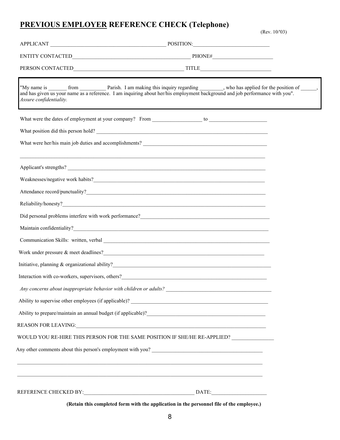# **PREVIOUS EMPLOYER REFERENCE CHECK (Telephone)** (Rev. 10/'03)

|                         | ENTITY CONTACTED PHONE#                                                                                                      |
|-------------------------|------------------------------------------------------------------------------------------------------------------------------|
|                         |                                                                                                                              |
| Assure confidentiality. | and has given us your name as a reference. I am inquiring about her/his employment background and job performance with you". |
|                         |                                                                                                                              |
|                         | What position did this person hold?                                                                                          |
|                         |                                                                                                                              |
|                         |                                                                                                                              |
|                         |                                                                                                                              |
|                         |                                                                                                                              |
|                         |                                                                                                                              |
|                         |                                                                                                                              |
|                         |                                                                                                                              |
|                         |                                                                                                                              |
|                         |                                                                                                                              |
|                         |                                                                                                                              |
|                         | Interaction with co-workers, supervisors, others?<br><u> </u>                                                                |
|                         |                                                                                                                              |
|                         |                                                                                                                              |
|                         |                                                                                                                              |
|                         |                                                                                                                              |
|                         | WOULD YOU RE-HIRE THIS PERSON FOR THE SAME POSITION IF SHE/HE RE-APPLIED?                                                    |
|                         | Any other comments about this person's employment with you?                                                                  |
|                         |                                                                                                                              |
|                         |                                                                                                                              |